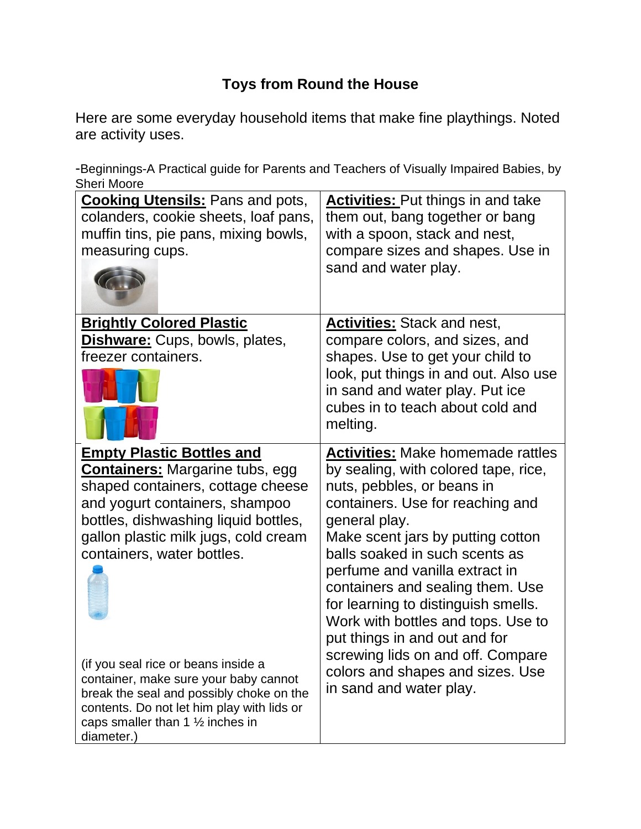## **Toys from Round the House**

Here are some everyday household items that make fine playthings. Noted are activity uses.

-Beginnings-A Practical guide for Parents and Teachers of Visually Impaired Babies, by Sheri Moore

| <b>Cooking Utensils:</b> Pans and pots,<br>colanders, cookie sheets, loaf pans,<br>muffin tins, pie pans, mixing bowls,<br>measuring cups.                                                                                                                      | <b>Activities:</b> Put things in and take<br>them out, bang together or bang<br>with a spoon, stack and nest,<br>compare sizes and shapes. Use in<br>sand and water play.                                                                                                                                                                                                                     |
|-----------------------------------------------------------------------------------------------------------------------------------------------------------------------------------------------------------------------------------------------------------------|-----------------------------------------------------------------------------------------------------------------------------------------------------------------------------------------------------------------------------------------------------------------------------------------------------------------------------------------------------------------------------------------------|
| <b>Brightly Colored Plastic</b><br>Dishware: Cups, bowls, plates,<br>freezer containers.                                                                                                                                                                        | <b>Activities:</b> Stack and nest,<br>compare colors, and sizes, and<br>shapes. Use to get your child to<br>look, put things in and out. Also use<br>in sand and water play. Put ice<br>cubes in to teach about cold and<br>melting.                                                                                                                                                          |
| <b>Empty Plastic Bottles and</b><br><b>Containers:</b> Margarine tubs, egg<br>shaped containers, cottage cheese<br>and yogurt containers, shampoo<br>bottles, dishwashing liquid bottles,<br>gallon plastic milk jugs, cold cream<br>containers, water bottles. | <b>Activities: Make homemade rattles</b><br>by sealing, with colored tape, rice,<br>nuts, pebbles, or beans in<br>containers. Use for reaching and<br>general play.<br>Make scent jars by putting cotton<br>balls soaked in such scents as<br>perfume and vanilla extract in<br>containers and sealing them. Use<br>for learning to distinguish smells.<br>Work with bottles and tops. Use to |
|                                                                                                                                                                                                                                                                 | put things in and out and for<br>screwing lids on and off. Compare                                                                                                                                                                                                                                                                                                                            |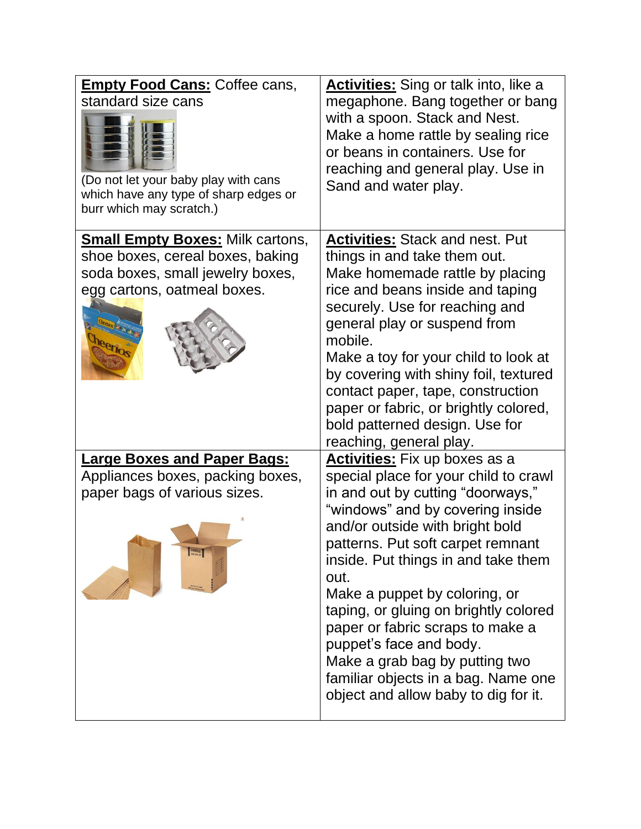| <b>Empty Food Cans: Coffee cans,</b><br>standard size cans<br>(Do not let your baby play with cans<br>which have any type of sharp edges or<br>burr which may scratch.) | <b>Activities:</b> Sing or talk into, like a<br>megaphone. Bang together or bang<br>with a spoon. Stack and Nest.<br>Make a home rattle by sealing rice<br>or beans in containers. Use for<br>reaching and general play. Use in<br>Sand and water play.                                                                                                                                                                                                                                                                                 |
|-------------------------------------------------------------------------------------------------------------------------------------------------------------------------|-----------------------------------------------------------------------------------------------------------------------------------------------------------------------------------------------------------------------------------------------------------------------------------------------------------------------------------------------------------------------------------------------------------------------------------------------------------------------------------------------------------------------------------------|
| <b>Small Empty Boxes:</b> Milk cartons,<br>shoe boxes, cereal boxes, baking<br>soda boxes, small jewelry boxes,<br>egg cartons, oatmeal boxes.<br><b>Aetion</b>         | <b>Activities:</b> Stack and nest. Put<br>things in and take them out.<br>Make homemade rattle by placing<br>rice and beans inside and taping<br>securely. Use for reaching and<br>general play or suspend from<br>mobile.<br>Make a toy for your child to look at<br>by covering with shiny foil, textured<br>contact paper, tape, construction<br>paper or fabric, or brightly colored,<br>bold patterned design. Use for<br>reaching, general play.                                                                                  |
| <b>Large Boxes and Paper Bags:</b><br>Appliances boxes, packing boxes,<br>paper bags of various sizes.<br>FRAGILE                                                       | <b>Activities:</b> Fix up boxes as a<br>special place for your child to crawl<br>in and out by cutting "doorways,"<br>"windows" and by covering inside<br>and/or outside with bright bold<br>patterns. Put soft carpet remnant<br>inside. Put things in and take them<br>out.<br>Make a puppet by coloring, or<br>taping, or gluing on brightly colored<br>paper or fabric scraps to make a<br>puppet's face and body.<br>Make a grab bag by putting two<br>familiar objects in a bag. Name one<br>object and allow baby to dig for it. |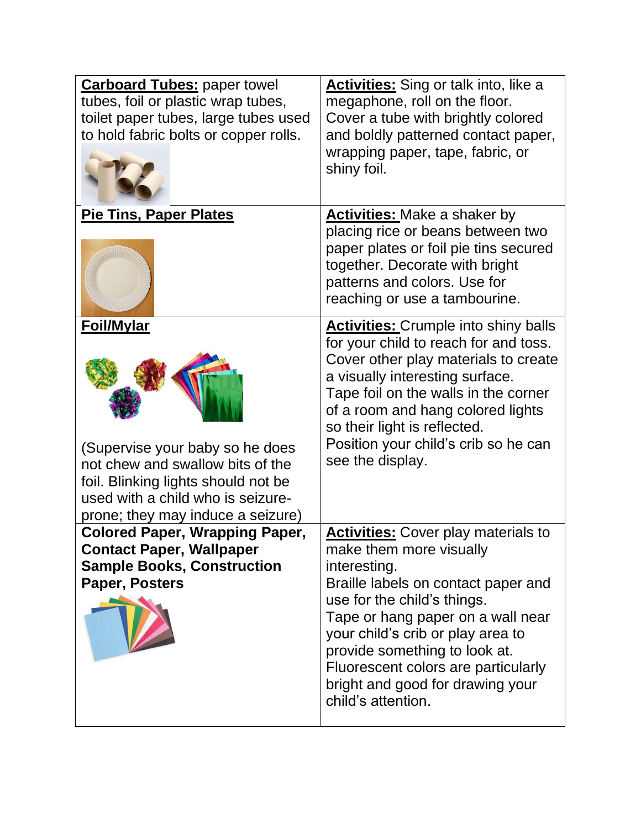| <b>Carboard Tubes: paper towel</b><br>tubes, foil or plastic wrap tubes,<br>toilet paper tubes, large tubes used<br>to hold fabric bolts or copper rolls.                                                 | Activities: Sing or talk into, like a<br>megaphone, roll on the floor.<br>Cover a tube with brightly colored<br>and boldly patterned contact paper,<br>wrapping paper, tape, fabric, or<br>shiny foil.                                                                                                                                                                  |
|-----------------------------------------------------------------------------------------------------------------------------------------------------------------------------------------------------------|-------------------------------------------------------------------------------------------------------------------------------------------------------------------------------------------------------------------------------------------------------------------------------------------------------------------------------------------------------------------------|
| <b>Pie Tins, Paper Plates</b>                                                                                                                                                                             | <b>Activities:</b> Make a shaker by<br>placing rice or beans between two<br>paper plates or foil pie tins secured<br>together. Decorate with bright<br>patterns and colors. Use for<br>reaching or use a tambourine.                                                                                                                                                    |
| <b>Foil/Mylar</b><br>(Supervise your baby so he does<br>not chew and swallow bits of the<br>foil. Blinking lights should not be<br>used with a child who is seizure-<br>prone; they may induce a seizure) | <b>Activities:</b> Crumple into shiny balls<br>for your child to reach for and toss.<br>Cover other play materials to create<br>a visually interesting surface.<br>Tape foil on the walls in the corner<br>of a room and hang colored lights<br>so their light is reflected.<br>Position your child's crib so he can<br>see the display.                                |
| <b>Colored Paper, Wrapping Paper,</b><br><b>Contact Paper, Wallpaper</b><br><b>Sample Books, Construction</b><br>Paper, Posters                                                                           | <b>Activities:</b> Cover play materials to<br>make them more visually<br>interesting.<br>Braille labels on contact paper and<br>use for the child's things.<br>Tape or hang paper on a wall near<br>your child's crib or play area to<br>provide something to look at.<br>Fluorescent colors are particularly<br>bright and good for drawing your<br>child's attention. |